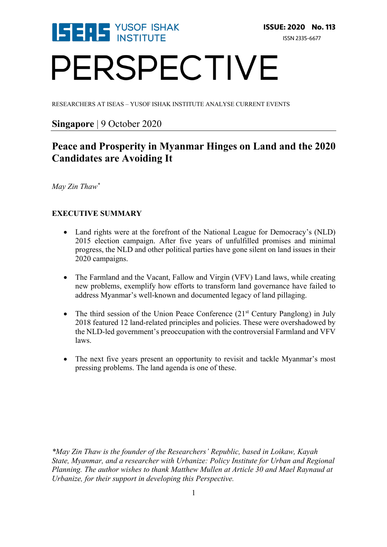

# PERSPECTIVE

RESEARCHERS AT ISEAS – YUSOF ISHAK INSTITUTE ANALYSE CURRENT EVENTS

# **Singapore** | 9 October 2020

# **Peace and Prosperity in Myanmar Hinges on Land and the 2020 Candidates are Avoiding It**

*May Zin Thaw\**

# **EXECUTIVE SUMMARY**

- Land rights were at the forefront of the National League for Democracy's (NLD) 2015 election campaign. After five years of unfulfilled promises and minimal progress, the NLD and other political parties have gone silent on land issues in their 2020 campaigns.
- The Farmland and the Vacant, Fallow and Virgin (VFV) Land laws, while creating new problems, exemplify how efforts to transform land governance have failed to address Myanmar's well-known and documented legacy of land pillaging.
- The third session of the Union Peace Conference  $(21<sup>st</sup>$  Century Panglong) in July 2018 featured 12 land-related principles and policies. These were overshadowed by the NLD-led government's preoccupation with the controversial Farmland and VFV laws.
- The next five years present an opportunity to revisit and tackle Myanmar's most pressing problems. The land agenda is one of these.

*\*May Zin Thaw is the founder of the Researchers' Republic, based in Loikaw, Kayah State, Myanmar, and a researcher with Urbanize: Policy Institute for Urban and Regional Planning. The author wishes to thank Matthew Mullen at Article 30 and Mael Raynaud at Urbanize, for their support in developing this Perspective.*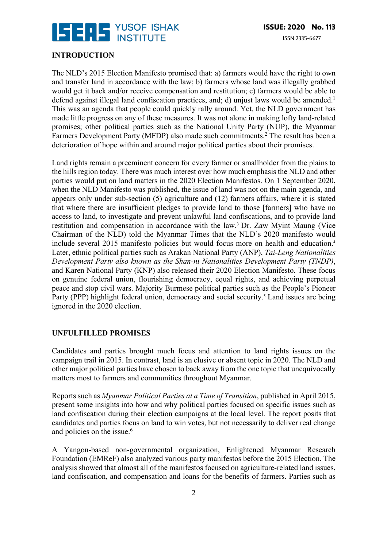

## **INTRODUCTION**

The NLD's 2015 Election Manifesto promised that: a) farmers would have the right to own and transfer land in accordance with the law; b) farmers whose land was illegally grabbed would get it back and/or receive compensation and restitution; c) farmers would be able to defend against illegal land confiscation practices, and; d) unjust laws would be amended.<sup>1</sup> This was an agenda that people could quickly rally around. Yet, the NLD government has made little progress on any of these measures. It was not alone in making lofty land-related promises; other political parties such as the National Unity Party (NUP), the Myanmar Farmers Development Party (MFDP) also made such commitments.<sup>2</sup> The result has been a deterioration of hope within and around major political parties about their promises.

Land rights remain a preeminent concern for every farmer or smallholder from the plains to the hills region today. There was much interest over how much emphasis the NLD and other parties would put on land matters in the 2020 Election Manifestos. On 1 September 2020, when the NLD Manifesto was published, the issue of land was not on the main agenda, and appears only under sub-section (5) agriculture and (12) farmers affairs, where it is stated that where there are insufficient pledges to provide land to those [farmers] who have no access to land, to investigate and prevent unlawful land confiscations, and to provide land restitution and compensation in accordance with the law.3 Dr. Zaw Myint Maung (Vice Chairman of the NLD) told the Myanmar Times that the NLD's 2020 manifesto would include several 2015 manifesto policies but would focus more on health and education.4 Later, ethnic political parties such as Arakan National Party (ANP), *Tai-Leng Nationalities Development Party also known as the Shan-ni Nationalities Development Party (TNDP)*, and Karen National Party (KNP) also released their 2020 Election Manifesto. These focus on genuine federal union, flourishing democracy, equal rights, and achieving perpetual peace and stop civil wars. Majority Burmese political parties such as the People's Pioneer Party (PPP) highlight federal union, democracy and social security.<sup>5</sup> Land issues are being ignored in the 2020 election.

#### **UNFULFILLED PROMISES**

Candidates and parties brought much focus and attention to land rights issues on the campaign trail in 2015. In contrast, land is an elusive or absent topic in 2020. The NLD and other major political parties have chosen to back away from the one topic that unequivocally matters most to farmers and communities throughout Myanmar.

Reports such as *Myanmar Political Parties at a Time of Transition*, published in April 2015, present some insights into how and why political parties focused on specific issues such as land confiscation during their election campaigns at the local level. The report posits that candidates and parties focus on land to win votes, but not necessarily to deliver real change and policies on the issue.<sup>6</sup>

A Yangon-based non-governmental organization, Enlightened Myanmar Research Foundation (EMReF) also analyzed various party manifestos before the 2015 Election. The analysis showed that almost all of the manifestos focused on agriculture-related land issues, land confiscation, and compensation and loans for the benefits of farmers. Parties such as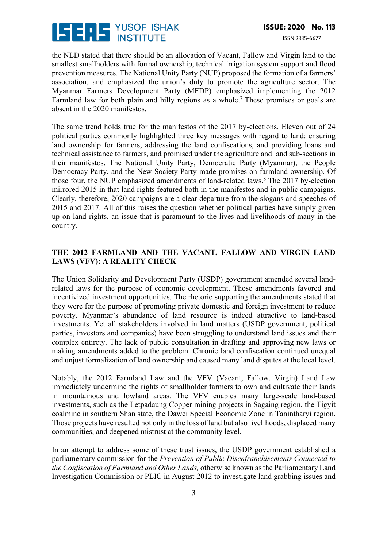

the NLD stated that there should be an allocation of Vacant, Fallow and Virgin land to the smallest smallholders with formal ownership, technical irrigation system support and flood prevention measures. The National Unity Party (NUP) proposed the formation of a farmers' association, and emphasized the union's duty to promote the agriculture sector. The Myanmar Farmers Development Party (MFDP) emphasized implementing the 2012 Farmland law for both plain and hilly regions as a whole.<sup>7</sup> These promises or goals are absent in the 2020 manifestos.

The same trend holds true for the manifestos of the 2017 by-elections. Eleven out of 24 political parties commonly highlighted three key messages with regard to land: ensuring land ownership for farmers, addressing the land confiscations, and providing loans and technical assistance to farmers, and promised under the agriculture and land sub-sections in their manifestos. The National Unity Party, Democratic Party (Myanmar), the People Democracy Party, and the New Society Party made promises on farmland ownership. Of those four, the NUP emphasized amendments of land-related laws.<sup>8</sup> The 2017 by-election mirrored 2015 in that land rights featured both in the manifestos and in public campaigns. Clearly, therefore, 2020 campaigns are a clear departure from the slogans and speeches of 2015 and 2017. All of this raises the question whether political parties have simply given up on land rights, an issue that is paramount to the lives and livelihoods of many in the country.

# **THE 2012 FARMLAND AND THE VACANT, FALLOW AND VIRGIN LAND LAWS (VFV): A REALITY CHECK**

The Union Solidarity and Development Party (USDP) government amended several landrelated laws for the purpose of economic development. Those amendments favored and incentivized investment opportunities. The rhetoric supporting the amendments stated that they were for the purpose of promoting private domestic and foreign investment to reduce poverty. Myanmar's abundance of land resource is indeed attractive to land-based investments. Yet all stakeholders involved in land matters (USDP government, political parties, investors and companies) have been struggling to understand land issues and their complex entirety. The lack of public consultation in drafting and approving new laws or making amendments added to the problem. Chronic land confiscation continued unequal and unjust formalization of land ownership and caused many land disputes at the local level.

Notably, the 2012 Farmland Law and the VFV (Vacant, Fallow, Virgin) Land Law immediately undermine the rights of smallholder farmers to own and cultivate their lands in mountainous and lowland areas. The VFV enables many large-scale land-based investments, such as the Letpadaung Copper mining projects in Sagaing region, the Tigyit coalmine in southern Shan state, the Dawei Special Economic Zone in Tanintharyi region. Those projects have resulted not only in the loss of land but also livelihoods, displaced many communities, and deepened mistrust at the community level.

In an attempt to address some of these trust issues, the USDP government established a parliamentary commission for the *Prevention of Public Disenfranchisements Connected to the Confiscation of Farmland and Other Lands,* otherwise known as the Parliamentary Land Investigation Commission or PLIC in August 2012 to investigate land grabbing issues and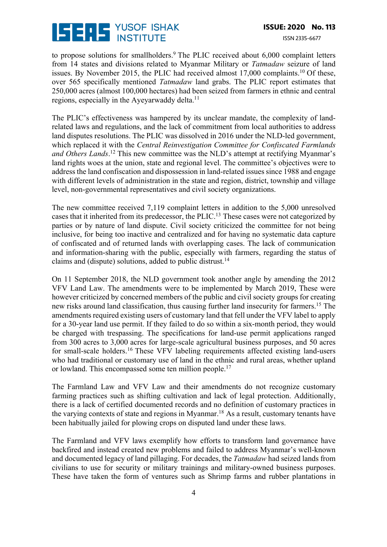

to propose solutions for smallholders. $9$  The PLIC received about 6,000 complaint letters from 14 states and divisions related to Myanmar Military or *Tatmadaw* seizure of land issues. By November 2015, the PLIC had received almost  $17,000$  complaints.<sup>10</sup> Of these, over 565 specifically mentioned *Tatmadaw* land grabs. The PLIC report estimates that 250,000 acres (almost 100,000 hectares) had been seized from farmers in ethnic and central regions, especially in the Ayeyarwaddy delta.<sup>11</sup>

The PLIC's effectiveness was hampered by its unclear mandate, the complexity of landrelated laws and regulations, and the lack of commitment from local authorities to address land disputes resolutions. The PLIC was dissolved in 2016 under the NLD-led government, which replaced it with the *Central Reinvestigation Committee for Confiscated Farmlands and Others Lands*. <sup>12</sup> This new committee was the NLD's attempt at rectifying Myanmar's land rights woes at the union, state and regional level. The committee's objectives were to address the land confiscation and dispossession in land-related issues since 1988 and engage with different levels of administration in the state and region, district, township and village level, non-governmental representatives and civil society organizations.

The new committee received 7,119 complaint letters in addition to the 5,000 unresolved cases that it inherited from its predecessor, the PLIC.13 These cases were not categorized by parties or by nature of land dispute. Civil society criticized the committee for not being inclusive, for being too inactive and centralized and for having no systematic data capture of confiscated and of returned lands with overlapping cases. The lack of communication and information-sharing with the public, especially with farmers, regarding the status of claims and (dispute) solutions, added to public distrust.14

On 11 September 2018, the NLD government took another angle by amending the 2012 VFV Land Law. The amendments were to be implemented by March 2019, These were however criticized by concerned members of the public and civil society groups for creating new risks around land classification, thus causing further land insecurity for farmers.15 The amendments required existing users of customary land that fell under the VFV label to apply for a 30-year land use permit. If they failed to do so within a six-month period, they would be charged with trespassing. The specifications for land-use permit applications ranged from 300 acres to 3,000 acres for large-scale agricultural business purposes, and 50 acres for small-scale holders.<sup>16</sup> These VFV labeling requirements affected existing land-users who had traditional or customary use of land in the ethnic and rural areas, whether upland or lowland. This encompassed some ten million people.<sup>17</sup>

The Farmland Law and VFV Law and their amendments do not recognize customary farming practices such as shifting cultivation and lack of legal protection. Additionally, there is a lack of certified documented records and no definition of customary practices in the varying contexts of state and regions in Myanmar.<sup>18</sup> As a result, customary tenants have been habitually jailed for plowing crops on disputed land under these laws.

The Farmland and VFV laws exemplify how efforts to transform land governance have backfired and instead created new problems and failed to address Myanmar's well-known and documented legacy of land pillaging. For decades, the *Tatmadaw* had seized lands from civilians to use for security or military trainings and military-owned business purposes. These have taken the form of ventures such as Shrimp farms and rubber plantations in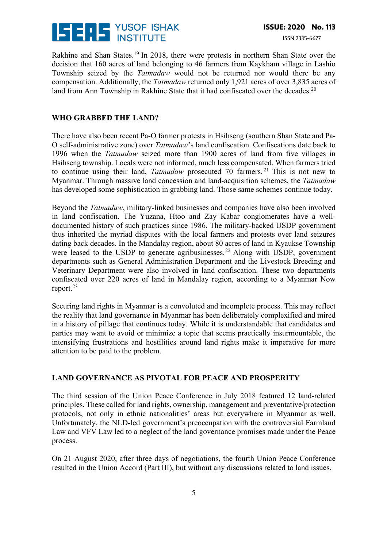

Rakhine and Shan States.<sup>19</sup> In 2018, there were protests in northern Shan State over the decision that 160 acres of land belonging to 46 farmers from Kaykham village in Lashio Township seized by the *Tatmadaw* would not be returned nor would there be any compensation. Additionally, the *Tatmadaw* returned only 1,921 acres of over 3,835 acres of land from Ann Township in Rakhine State that it had confiscated over the decades.<sup>20</sup>

#### **WHO GRABBED THE LAND?**

There have also been recent Pa-O farmer protests in Hsihseng (southern Shan State and Pa-O self-administrative zone) over *Tatmadaw*'s land confiscation. Confiscations date back to 1996 when the *Tatmadaw* seized more than 1900 acres of land from five villages in Hsihseng township. Locals were not informed, much less compensated. When farmers tried to continue using their land, *Tatmadaw* prosecuted 70 farmers. <sup>21</sup> This is not new to Myanmar. Through massive land concession and land-acquisition schemes, the *Tatmadaw* has developed some sophistication in grabbing land. Those same schemes continue today.

Beyond the *Tatmadaw*, military-linked businesses and companies have also been involved in land confiscation. The Yuzana, Htoo and Zay Kabar conglomerates have a welldocumented history of such practices since 1986. The military-backed USDP government thus inherited the myriad disputes with the local farmers and protests over land seizures dating back decades. In the Mandalay region, about 80 acres of land in Kyaukse Township were leased to the USDP to generate agribusinesses.<sup>22</sup> Along with USDP, government departments such as General Administration Department and the Livestock Breeding and Veterinary Department were also involved in land confiscation. These two departments confiscated over 220 acres of land in Mandalay region, according to a Myanmar Now report.23

Securing land rights in Myanmar is a convoluted and incomplete process. This may reflect the reality that land governance in Myanmar has been deliberately complexified and mired in a history of pillage that continues today. While it is understandable that candidates and parties may want to avoid or minimize a topic that seems practically insurmountable, the intensifying frustrations and hostilities around land rights make it imperative for more attention to be paid to the problem.

## **LAND GOVERNANCE AS PIVOTAL FOR PEACE AND PROSPERITY**

The third session of the Union Peace Conference in July 2018 featured 12 land-related principles. These called for land rights, ownership, management and preventative/protection protocols, not only in ethnic nationalities' areas but everywhere in Myanmar as well. Unfortunately, the NLD-led government's preoccupation with the controversial Farmland Law and VFV Law led to a neglect of the land governance promises made under the Peace process.

On 21 August 2020, after three days of negotiations, the fourth Union Peace Conference resulted in the Union Accord (Part III), but without any discussions related to land issues.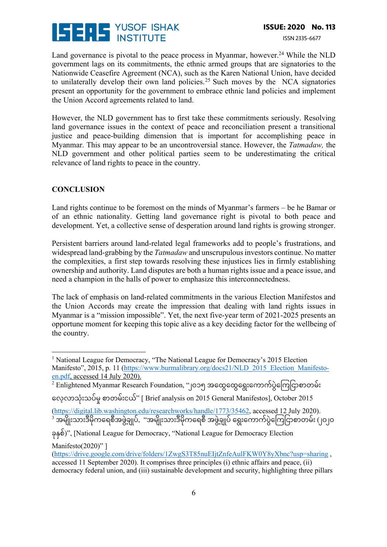

Land governance is pivotal to the peace process in Myanmar, however.<sup>24</sup> While the NLD government lags on its commitments, the ethnic armed groups that are signatories to the Nationwide Ceasefire Agreement (NCA), such as the Karen National Union, have decided to unilaterally develop their own land policies.<sup>25</sup> Such moves by the NCA signatories present an opportunity for the government to embrace ethnic land policies and implement the Union Accord agreements related to land.

However, the NLD government has to first take these commitments seriously. Resolving land governance issues in the context of peace and reconciliation present a transitional justice and peace-building dimension that is important for accomplishing peace in Myanmar. This may appear to be an uncontroversial stance. However, the *Tatmadaw,* the NLD government and other political parties seem to be underestimating the critical relevance of land rights to peace in the country.

## **CONCLUSION**

Land rights continue to be foremost on the minds of Myanmar's farmers – be he Bamar or of an ethnic nationality. Getting land governance right is pivotal to both peace and development. Yet, a collective sense of desperation around land rights is growing stronger.

Persistent barriers around land-related legal frameworks add to people's frustrations, and widespread land-grabbing by the *Tatmadaw* and unscrupulous investors continue. No matter the complexities, a first step towards resolving these injustices lies in firmly establishing ownership and authority. Land disputes are both a human rights issue and a peace issue, and need a champion in the halls of power to emphasize this interconnectedness.

The lack of emphasis on land-related commitments in the various Election Manifestos and the Union Accords may create the impression that dealing with land rights issues in Myanmar is a "mission impossible". Yet, the next five-year term of 2021-2025 presents an opportune moment for keeping this topic alive as a key deciding factor for the wellbeing of the country.

 $^2$  Enlightened Myanmar Research Foundation, "၂၀၁၅ အထွေထွေရွေးကောက်ပွဲကြေငြာစာတမ်း

ေလ့လာသံ:းသပ်မ;စာတမ်းငယ်" [ Brief analysis on 2015 General Manifestos], October 2015

(https://digital.lib.washington.edu/researchworks/handle/1773/35462, accessed 12 July 2020).  $^3$  အမျိုးသားဒီမိုကရေစီအဖွဲ့ချုပ်, "အမျိုးသားဒီမိုကရေစီ အဖွဲ့ချုပ် ရွေးကောက်ပွဲကြေငြာစာတမ်း (၂၀၂၀

ခ:EFစ်)", [National League for Democracy, "National League for Democracy Election Manifesto(2020)"]

<sup>&</sup>lt;sup>1</sup> National League for Democracy, "The National League for Democracy's 2015 Election Manifesto", 2015, p. 11 (https://www.burmalibrary.org/docs21/NLD\_2015\_Election\_Manifestoen.pdf, accessed 14 July 2020).

<sup>(</sup>https://drive.google.com/drive/folders/1ZwgS3T85nuEIjtZnfeAulFKW0Y8yXbnc?usp=sharing , accessed 11 September 2020). It comprises three principles (i) ethnic affairs and peace, (ii) democracy federal union, and (iii) sustainable development and security, highlighting three pillars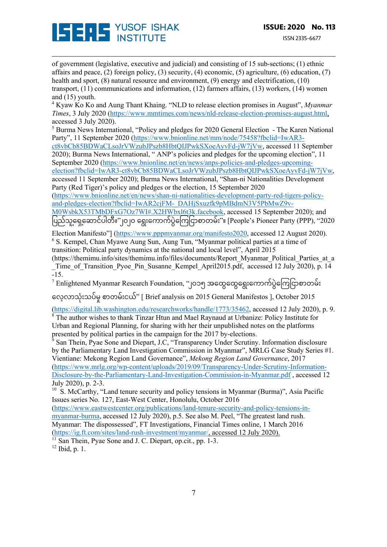

of government (legislative, executive and judicial) and consisting of 15 sub-sections; (1) ethnic affairs and peace, (2) foreign policy, (3) security, (4) economic, (5) agriculture, (6) education, (7) health and sport, (8) natural resource and environment, (9) energy and electrification, (10) transport, (11) communications and information, (12) farmers affairs, (13) workers, (14) women and (15) youth.

<sup>4</sup> Kyaw Ko Ko and Aung Thant Khaing. "NLD to release election promises in August", *Myanmar Times*, 3 July 2020 (https://www.mmtimes.com/news/nld-release-election-promises-august.html, accessed 3 July 2020).

<sup>5</sup> Burma News International, "Policy and pledges for 2020 General Election - The Karen National Party", 11 September 2020 (https://www.bnionline.net/mm/node/75458?fbclid=IwAR3-

ct8vbCb85BDWaCLsoJrVWzubJPszb8HbtQIJPwkSXoeAyvFd-jW7jVw, accessed 11 September 2020); Burma News International, " ANP's policies and pledges for the upcoming election", 11 September 2020 (https://www.bnionline.net/en/news/anps-policies-and-pledges-upcoming-

election?fbclid=IwAR3-ct8vbCb85BDWaCLsoJrVWzubJPszb8HbtQIJPwkSXoeAyvFd-jW7jVw, accessed 11 September 2020); Burma News International, "Shan-ni Nationalities Development Party (Red Tiger)'s policy and pledges or the election, 15 September 2020

(https://www.bnionline.net/en/news/shan-ni-nationalities-development-party-red-tigers-policyand-pledges-election?fbclid=IwAR2cjFM-\_DAHjSxuzfk9pMBdmN3V5PbMwZ9v-

M0WsbkX53TMbDFxG7Oz7WI#.X2HWbxl6t3k.facebook, accessed 15 September 2020); and ပြည်သူ့ရှေ့ဆောင်ပါတီ။''၂၀၂၀ ရွေးကောက်ပွဲကြေငြာစာတမ်း''။ [People's Pioneer Party (PPP), ''2020

Election Manifesto"] (https://www.pppmyanmar.org/manifesto2020, accessed 12 August 2020). <sup>6</sup> S. Kempel, Chan Myawe Aung Sun, Aung Tun, "Myanmar political parties at a time of transition: Political party dynamics at the national and local level", April 2015

(https://themimu.info/sites/themimu.info/files/documents/Report\_Myanmar\_Political\_Parties\_at\_a \_Time\_of\_Transition\_Pyoe\_Pin\_Susanne\_Kempel\_April2015.pdf, accessed 12 July 2020), p. 14 -15.

 $^7$  Enlightened Myanmar Research Foundation, "၂၀၁၅ အထွေထွေရွေးကောက်ပွဲကြေငြာစာတမ်း

ေလ့လာသံ:းသပ်မ;စာတမ်းငယ်" [ Brief analysis on 2015 General Manifestos ], October 2015

(https://digital.lib.washington.edu/researchworks/handle/1773/35462, accessed 12 July 2020), p. 9. <sup>8</sup> The author wishes to thank Tinzar Htun and Mael Raynaud at Urbanize: Policy Institute for Urban and Regional Planning, for sharing with her their unpublished notes on the platforms presented by political parties in the campaign for the 2017 by-elections.

San Thein, Pyae Sone and Diepart, J.C, "Transparency Under Scrutiny. Information disclosure by the Parliamentary Land Investigation Commission in Myanmar", MRLG Case Study Series #1. Vientiane: Mekong Region Land Governance", *Mekong Region Land Governance*, 2017 (https://www.mrlg.org/wp-content/uploads/2019/09/Transparency-Under-Scrutiny-Information-Disclosure-by-the-Parliamentary-Land-Investigation-Commission-in-Myanmar.pdf , accessed 12 July 2020), p. 2-3.

<sup>10</sup> S. McCarthy, "Land tenure security and policy tensions in Myanmar (Burma)", Asia Pacific Issues series No. 127, East-West Center, Honolulu, October 2016

(https://www.eastwestcenter.org/publications/land-tenure-security-and-policy-tensions-inmyanmar-burma, accessed 12 July 2020), p.5. See also M. Peel, "The greatest land rush. Myanmar: The dispossessed", FT Investigations, Financial Times online, 1 March 2016 (https://ig.ft.com/sites/land-rush-investment/myanmar/, accessed 12 July 2020).

 $\frac{11}{11}$  San Thein, Pyae Sone and J. C. Diepart, op.cit., pp. 1-3.

<sup>12</sup> Ibid, p. 1.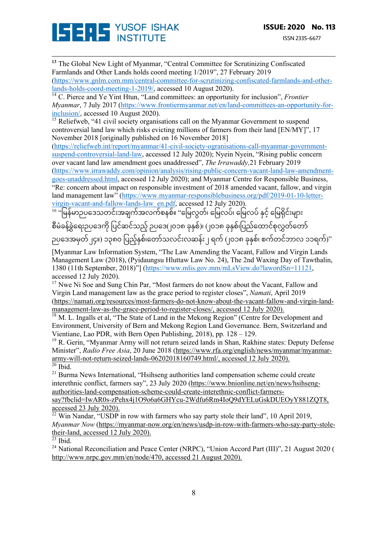

**<sup>13</sup>** The Global New Light of Myanmar, "Central Committee for Scrutinizing Confiscated Farmlands and Other Lands holds coord meeting 1/2019", 27 February 2019 (https://www.gnlm.com.mm/central-committee-for-scrutinizing-confiscated-farmlands-and-otherlands-holds-coord-meeting-1-2019/, accessed 10 August 2020).

<sup>14</sup> C. Pierce and Ye Yint Htun, "Land committees: an opportunity for inclusion", *Frontier Myanmar*, 7 July 2017 (https://www.frontiermyanmar.net/en/land-committees-an-opportunity-forinclusion/, accessed 10 August 2020).

<sup>15</sup> Reliefweb, "41 civil society organisations call on the Myanmar Government to suspend controversial land law which risks evicting millions of farmers from their land [EN/MY]", 17 November 2018 [originally published on 16 November 2018]

(https://reliefweb.int/report/myanmar/41-civil-society-ogranisations-call-myanmar-governmentsuspend-controversial-land-law, accessed 12 July 2020); Nyein Nyein, "Rising public concern over vacant land law amendment goes unaddressed", *The Irrawaddy,*21 February 2019 (https://www.irrawaddy.com/opinion/analysis/rising-public-concern-vacant-land-law-amendmentgoes-unaddressed.html, accessed 12 July 2020); and Myanmar Centre for Responsible Business, "Re: concern about impact on responsible investment of 2018 amended vacant, fallow, and virgin land management law" (https://www.myanmar-responsiblebusiness.org/pdf/2019-01-10-letter-

virgin-vacant-and-fallow-lands-law\_en.pdf, accessed 12 July 2020).

16 "မြန်မာဉပဒေသတင်းအချက်အလက်စနစ်။ "မြေလွတ်၊ မြေလပ်၊ မြေလပ် နှင့် မြေရိုင်းများ

စီမံခန့်ခွဲရေးဉပဒေကို ပြင်ဆင်သည့် ဉပဒေ(၂၀၁၈ ခုနှစ်)၊ (၂၀၁၈ ခုနှစ်၊ပြည်ထောင်စုလွှတ်တော် ဉပဒေအမှတ်၂၄။) ၁၃၈၀ ပြည့်နှစ်၊တော်သလင်းလဆန်း ၂ ရက် (၂၀၁၈ ခုနှစ်၊ စက်တင်ဘာလ ၁၁ရက်)"

[Myanmar Law Information System, "The Law Amending the Vacant, Fallow and Virgin Lands Management Law (2018), (Pyidaungsu Hluttaw Law No. 24), The 2nd Waxing Day of Tawthalin, 1380 (11th September, 2018)"] (https://www.mlis.gov.mm/mLsView.do?lawordSn=11121, accessed 12 July 2020).

<sup>17</sup> Nwe Ni Soe and Sung Chin Par, "Most farmers do not know about the Vacant, Fallow and Virgin Land management law as the grace period to register closes", *Namati*, April 2019 (https://namati.org/resources/most-farmers-do-not-know-about-the-vacant-fallow-and-virgin-landmanagement-law-as-the-grace-period-to-register-closes/, accessed 12 July 2020).

<sup>18</sup> M. L. Ingalls et al, "The State of Land in the Mekong Region" (Centre for Development and Environment, University of Bern and Mekong Region Land Governance. Bern, Switzerland and Vientiane, Lao PDR, with Bern Open Publishing, 2018), pp. 128 – 129.

<sup>19</sup> R. Gerin, "Myanmar Army will not return seized lands in Shan, Rakhine states: Deputy Defense Minister", *Radio Free Asia*, 20 June 2018 (https://www.rfa.org/english/news/myanmar/myanmararmy-will-not-return-seized-lands-06202018160749.html/, accessed 12 July 2020).  $20$  Ibid.

<sup>21</sup> Burma News International, "Hsihseng authorities land compensation scheme could create interethnic conflict, farmers say", 23 July 2020 (https://www.bnionline.net/en/news/hsihsengauthorities-land-compensation-scheme-could-create-interethnic-conflict-farmers-

say?fbclid=IwAR0s-zPehx4j1O9o6a6GHYcu-2Wdfu6Rm4IoQ9dYELuGskDUEOyY881ZQT8, accessed 23 July 2020).

 $\frac{22}{2}$  Win Nandar, "USDP in row with farmers who say party stole their land", 10 April 2019, *Myanmar Now* (https://myanmar-now.org/en/news/usdp-in-row-with-farmers-who-say-party-stoletheir-land, accessed 12 July 2020).

 $\overline{^{23}}$  Ibid.

<sup>24</sup> National Reconciliation and Peace Center (NRPC), "Union Accord Part (III)", 21 August 2020 ( http://www.nrpc.gov.mm/en/node/470, accessed 21 August 2020).